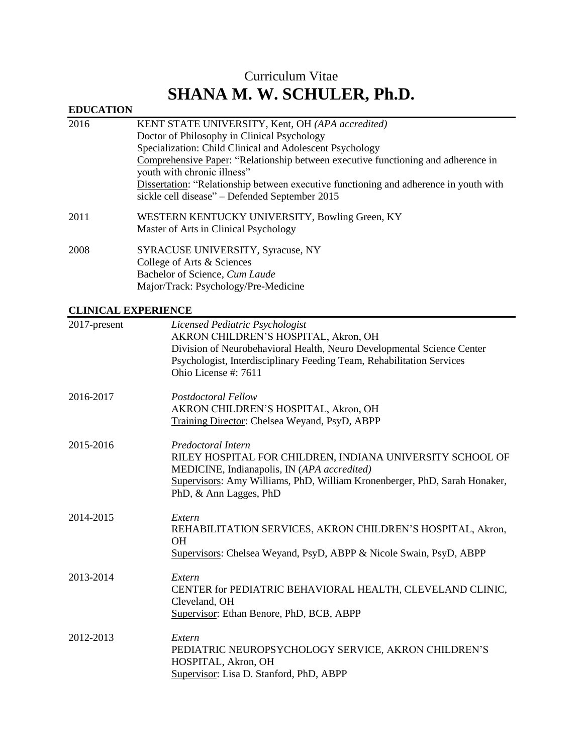# Curriculum Vitae **SHANA M. W. SCHULER, Ph.D.**

# **EDUCATION**

| 2016 | KENT STATE UNIVERSITY, Kent, OH (APA accredited)                                      |
|------|---------------------------------------------------------------------------------------|
|      | Doctor of Philosophy in Clinical Psychology                                           |
|      | Specialization: Child Clinical and Adolescent Psychology                              |
|      | Comprehensive Paper: "Relationship between executive functioning and adherence in     |
|      | youth with chronic illness"                                                           |
|      | Dissertation: "Relationship between executive functioning and adherence in youth with |
|      | sickle cell disease" – Defended September 2015                                        |
| 2011 | WESTERN KENTUCKY UNIVERSITY, Bowling Green, KY                                        |
|      | Master of Arts in Clinical Psychology                                                 |
| 2008 | SYRACUSE UNIVERSITY, Syracuse, NY                                                     |
|      | College of Arts & Sciences                                                            |
|      | Bachelor of Science, Cum Laude                                                        |

Major/Track: Psychology/Pre-Medicine

# **CLINICAL EXPERIENCE**

| CLIN WOMEN LIMITED WE |                                                                                                                                                                                                                                                    |
|-----------------------|----------------------------------------------------------------------------------------------------------------------------------------------------------------------------------------------------------------------------------------------------|
| $2017$ -present       | Licensed Pediatric Psychologist<br>AKRON CHILDREN'S HOSPITAL, Akron, OH<br>Division of Neurobehavioral Health, Neuro Developmental Science Center<br>Psychologist, Interdisciplinary Feeding Team, Rehabilitation Services<br>Ohio License #: 7611 |
| 2016-2017             | Postdoctoral Fellow<br>AKRON CHILDREN'S HOSPITAL, Akron, OH<br>Training Director: Chelsea Weyand, PsyD, ABPP                                                                                                                                       |
| 2015-2016             | Predoctoral Intern<br>RILEY HOSPITAL FOR CHILDREN, INDIANA UNIVERSITY SCHOOL OF<br>MEDICINE, Indianapolis, IN (APA accredited)<br>Supervisors: Amy Williams, PhD, William Kronenberger, PhD, Sarah Honaker,<br>PhD, & Ann Lagges, PhD              |
| 2014-2015             | Extern<br>REHABILITATION SERVICES, AKRON CHILDREN'S HOSPITAL, Akron,<br>OH<br>Supervisors: Chelsea Weyand, PsyD, ABPP & Nicole Swain, PsyD, ABPP                                                                                                   |
| 2013-2014             | Extern<br>CENTER for PEDIATRIC BEHAVIORAL HEALTH, CLEVELAND CLINIC,<br>Cleveland, OH<br>Supervisor: Ethan Benore, PhD, BCB, ABPP                                                                                                                   |
| 2012-2013             | Extern<br>PEDIATRIC NEUROPSYCHOLOGY SERVICE, AKRON CHILDREN'S<br>HOSPITAL, Akron, OH<br>Supervisor: Lisa D. Stanford, PhD, ABPP                                                                                                                    |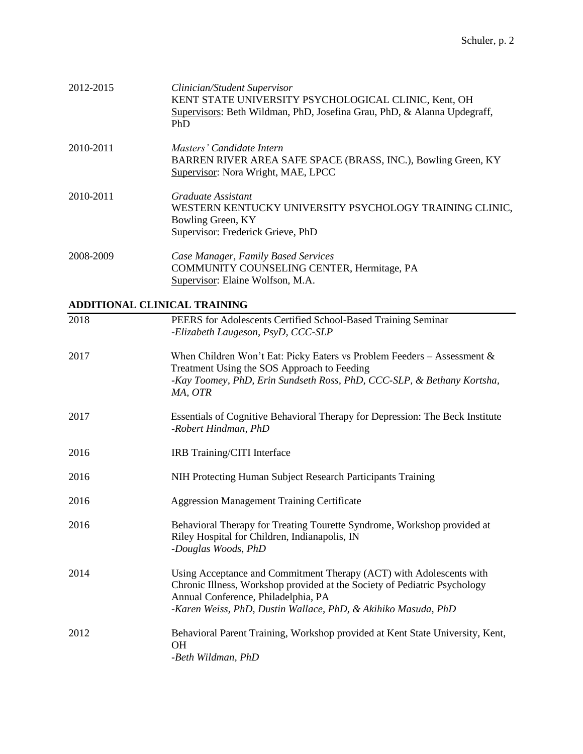| 2012-2015 | Clinician/Student Supervisor<br>KENT STATE UNIVERSITY PSYCHOLOGICAL CLINIC, Kent, OH<br>Supervisors: Beth Wildman, PhD, Josefina Grau, PhD, & Alanna Updegraff,<br>PhD |
|-----------|------------------------------------------------------------------------------------------------------------------------------------------------------------------------|
| 2010-2011 | Masters' Candidate Intern<br>BARREN RIVER AREA SAFE SPACE (BRASS, INC.), Bowling Green, KY<br>Supervisor: Nora Wright, MAE, LPCC                                       |
| 2010-2011 | Graduate Assistant<br>WESTERN KENTUCKY UNIVERSITY PSYCHOLOGY TRAINING CLINIC,<br>Bowling Green, KY<br>Supervisor: Frederick Grieve, PhD                                |
| 2008-2009 | Case Manager, Family Based Services<br>COMMUNITY COUNSELING CENTER, Hermitage, PA<br>Supervisor: Elaine Wolfson, M.A.                                                  |

## **ADDITIONAL CLINICAL TRAINING**

| 2018 | PEERS for Adolescents Certified School-Based Training Seminar<br>-Elizabeth Laugeson, PsyD, CCC-SLP                                                                                                                                                      |
|------|----------------------------------------------------------------------------------------------------------------------------------------------------------------------------------------------------------------------------------------------------------|
| 2017 | When Children Won't Eat: Picky Eaters vs Problem Feeders - Assessment $\&$<br>Treatment Using the SOS Approach to Feeding<br>-Kay Toomey, PhD, Erin Sundseth Ross, PhD, CCC-SLP, & Bethany Kortsha,<br>MA, OTR                                           |
| 2017 | Essentials of Cognitive Behavioral Therapy for Depression: The Beck Institute<br>-Robert Hindman, PhD                                                                                                                                                    |
| 2016 | IRB Training/CITI Interface                                                                                                                                                                                                                              |
| 2016 | NIH Protecting Human Subject Research Participants Training                                                                                                                                                                                              |
| 2016 | <b>Aggression Management Training Certificate</b>                                                                                                                                                                                                        |
| 2016 | Behavioral Therapy for Treating Tourette Syndrome, Workshop provided at<br>Riley Hospital for Children, Indianapolis, IN<br>-Douglas Woods, PhD                                                                                                          |
| 2014 | Using Acceptance and Commitment Therapy (ACT) with Adolescents with<br>Chronic Illness, Workshop provided at the Society of Pediatric Psychology<br>Annual Conference, Philadelphia, PA<br>-Karen Weiss, PhD, Dustin Wallace, PhD, & Akihiko Masuda, PhD |
| 2012 | Behavioral Parent Training, Workshop provided at Kent State University, Kent,<br>OH<br>-Beth Wildman, PhD                                                                                                                                                |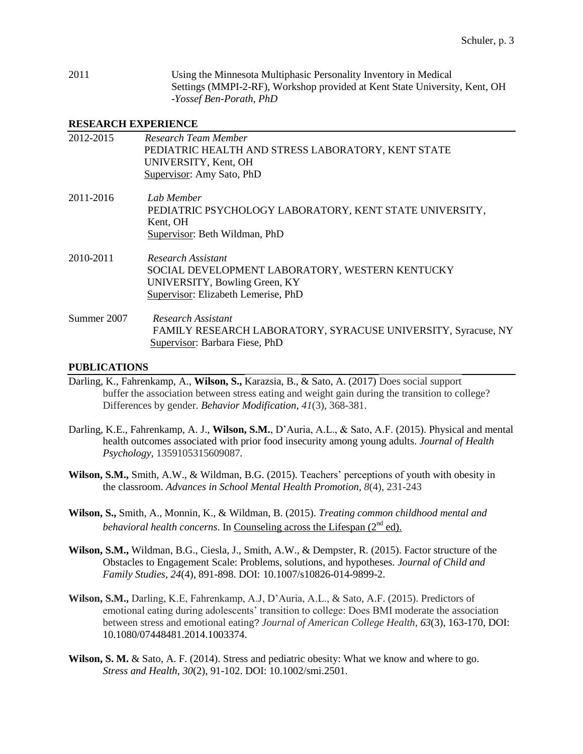2011 Using the Minnesota Multiphasic Personality Inventory in Medical Settings (MMPI-2-RF), Workshop provided at Kent State University, Kent, OH -*Yossef Ben-Porath, PhD*

#### **RESEARCH EXPERIENCE**

| 2012-2015   | Research Team Member<br>PEDIATRIC HEALTH AND STRESS LABORATORY, KENT STATE<br>UNIVERSITY, Kent, OH<br>Supervisor: Amy Sato, PhD               |
|-------------|-----------------------------------------------------------------------------------------------------------------------------------------------|
| 2011-2016   | Lab Member<br>PEDIATRIC PSYCHOLOGY LABORATORY, KENT STATE UNIVERSITY,<br>Kent, OH<br>Supervisor: Beth Wildman, PhD                            |
| 2010-2011   | Research Assistant<br>SOCIAL DEVELOPMENT LABORATORY, WESTERN KENTUCKY<br>UNIVERSITY, Bowling Green, KY<br>Supervisor: Elizabeth Lemerise, PhD |
| Summer 2007 | Research Assistant<br>FAMILY RESEARCH LABORATORY, SYRACUSE UNIVERSITY, Syracuse, NY<br>Supervisor: Barbara Fiese, PhD                         |

#### **PUBLICATIONS**

- Darling, K., Fahrenkamp, A., **Wilson, S.,** Karazsia, B., & Sato, A. (2017) Does social support buffer the association between stress eating and weight gain during the transition to college? Differences by gender. *Behavior Modification, 41*(3), 368-381.
- Darling, K.E., Fahrenkamp, A. J., **Wilson, S.M.**, D'Auria, A.L., & Sato, A.F. (2015). Physical and mental health outcomes associated with prior food insecurity among young adults. *Journal of Health Psychology,* 1359105315609087*.*
- **Wilson, S.M.,** Smith, A.W., & Wildman, B.G. (2015). Teachers' perceptions of youth with obesity in the classroom. *Advances in School Mental Health Promotion, 8*(4), 231-243
- **Wilson, S.,** Smith, A., Monnin, K., & Wildman, B. (2015). *Treating common childhood mental and behavioral health concerns*. In Counseling across the Lifespan  $(2<sup>nd</sup>$ ed).
- **Wilson, S.M.,** Wildman, B.G., Ciesla, J., Smith, A.W., & Dempster, R. (2015). Factor structure of the Obstacles to Engagement Scale: Problems, solutions, and hypotheses. *Journal of Child and Family Studies, 24*(4), 891-898. DOI: 10.1007/s10826-014-9899-2.
- **Wilson, S.M.,** Darling, K.E, Fahrenkamp, A.J, D'Auria, A.L., & Sato, A.F. (2015). Predictors of emotional eating during adolescents' transition to college: Does BMI moderate the association between stress and emotional eating? *Journal of American College Health*, *63*(3), 163-170, DOI: 10.1080/07448481.2014.1003374.
- **Wilson, S. M.** & Sato, A. F. (2014). Stress and pediatric obesity: What we know and where to go. *Stress and Health, 30*(2), 91-102. DOI: 10.1002/smi.2501.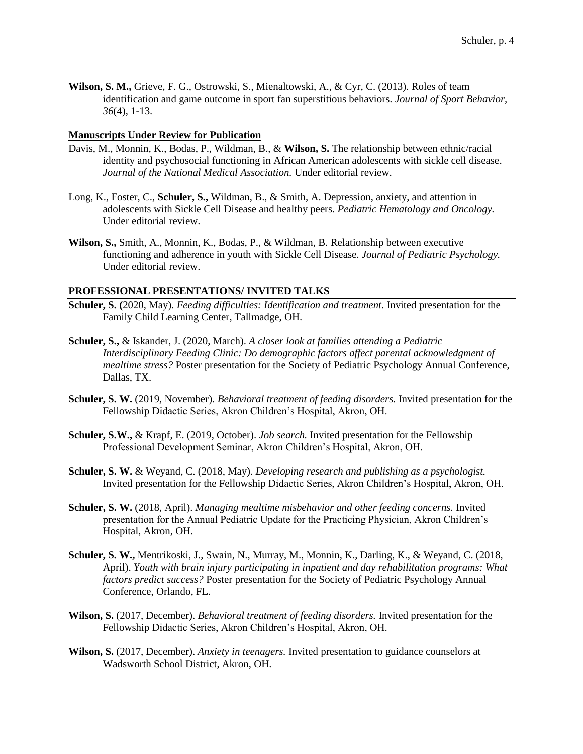**Wilson, S. M.,** Grieve, F. G., Ostrowski, S., Mienaltowski, A., & Cyr, C. (2013). Roles of team identification and game outcome in sport fan superstitious behaviors. *Journal of Sport Behavior, 36*(4), 1-13.

#### **Manuscripts Under Review for Publication**

- Davis, M., Monnin, K., Bodas, P., Wildman, B., & **Wilson, S.** The relationship between ethnic/racial identity and psychosocial functioning in African American adolescents with sickle cell disease. *Journal of the National Medical Association.* Under editorial review.
- Long, K., Foster, C., **Schuler, S.,** Wildman, B., & Smith, A. Depression, anxiety, and attention in adolescents with Sickle Cell Disease and healthy peers. *Pediatric Hematology and Oncology.*  Under editorial review.
- **Wilson, S.,** Smith, A., Monnin, K., Bodas, P., & Wildman, B. Relationship between executive functioning and adherence in youth with Sickle Cell Disease. *Journal of Pediatric Psychology.* Under editorial review.

## **PROFESSIONAL PRESENTATIONS/ INVITED TALKS**

- **Schuler, S. (**2020, May). *Feeding difficulties: Identification and treatment*. Invited presentation for the Family Child Learning Center, Tallmadge, OH.
- **Schuler, S.,** & Iskander, J. (2020, March). *A closer look at families attending a Pediatric Interdisciplinary Feeding Clinic: Do demographic factors affect parental acknowledgment of mealtime stress?* Poster presentation for the Society of Pediatric Psychology Annual Conference, Dallas, TX.
- **Schuler, S. W.** (2019, November). *Behavioral treatment of feeding disorders.* Invited presentation for the Fellowship Didactic Series, Akron Children's Hospital, Akron, OH.
- **Schuler, S.W.,** & Krapf, E. (2019, October). *Job search.* Invited presentation for the Fellowship Professional Development Seminar, Akron Children's Hospital, Akron, OH.
- **Schuler, S. W.** & Weyand, C. (2018, May). *Developing research and publishing as a psychologist.* Invited presentation for the Fellowship Didactic Series, Akron Children's Hospital, Akron, OH.
- **Schuler, S. W.** (2018, April). *Managing mealtime misbehavior and other feeding concerns.* Invited presentation for the Annual Pediatric Update for the Practicing Physician, Akron Children's Hospital, Akron, OH.
- **Schuler, S. W.,** Mentrikoski, J., Swain, N., Murray, M., Monnin, K., Darling, K., & Weyand, C. (2018, April). *Youth with brain injury participating in inpatient and day rehabilitation programs: What factors predict success?* Poster presentation for the Society of Pediatric Psychology Annual Conference, Orlando, FL.
- **Wilson, S.** (2017, December). *Behavioral treatment of feeding disorders.* Invited presentation for the Fellowship Didactic Series, Akron Children's Hospital, Akron, OH.
- **Wilson, S.** (2017, December). *Anxiety in teenagers.* Invited presentation to guidance counselors at Wadsworth School District, Akron, OH.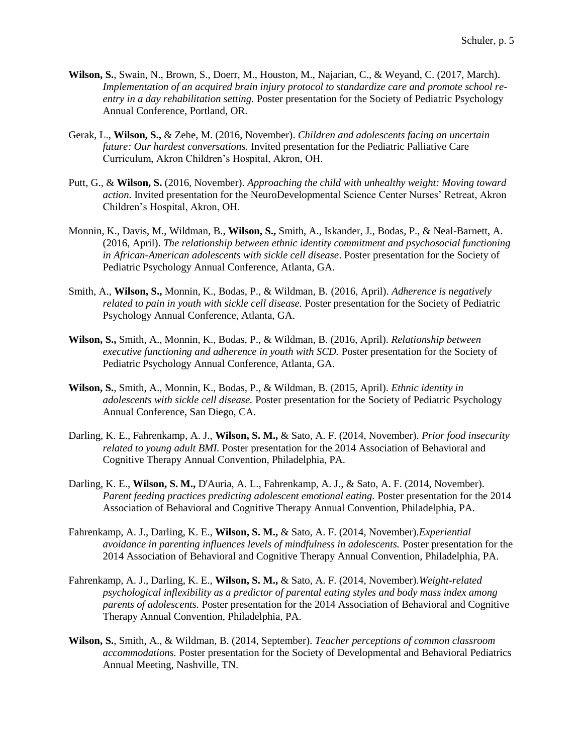- **Wilson, S.**, Swain, N., Brown, S., Doerr, M., Houston, M., Najarian, C., & Weyand, C. (2017, March). *Implementation of an acquired brain injury protocol to standardize care and promote school reentry in a day rehabilitation setting.* Poster presentation for the Society of Pediatric Psychology Annual Conference, Portland, OR.
- Gerak, L., **Wilson, S.,** & Zehe, M. (2016, November). *Children and adolescents facing an uncertain future: Our hardest conversations.* Invited presentation for the Pediatric Palliative Care Curriculum, Akron Children's Hospital, Akron, OH.
- Putt, G., & **Wilson, S.** (2016, November). *Approaching the child with unhealthy weight: Moving toward action.* Invited presentation for the NeuroDevelopmental Science Center Nurses' Retreat, Akron Children's Hospital, Akron, OH.
- Monnin, K., Davis, M., Wildman, B., **Wilson, S.,** Smith, A., Iskander, J., Bodas, P., & Neal-Barnett, A. (2016, April). *The relationship between ethnic identity commitment and psychosocial functioning in African-American adolescents with sickle cell disease*. Poster presentation for the Society of Pediatric Psychology Annual Conference, Atlanta, GA.
- Smith, A., **Wilson, S.,** Monnin, K., Bodas, P., & Wildman, B. (2016, April). *Adherence is negatively related to pain in youth with sickle cell disease.* Poster presentation for the Society of Pediatric Psychology Annual Conference, Atlanta, GA.
- **Wilson, S.,** Smith, A., Monnin, K., Bodas, P., & Wildman, B. (2016, April). *Relationship between executive functioning and adherence in youth with SCD.* Poster presentation for the Society of Pediatric Psychology Annual Conference, Atlanta, GA.
- **Wilson, S.**, Smith, A., Monnin, K., Bodas, P., & Wildman, B. (2015, April). *Ethnic identity in adolescents with sickle cell disease.* Poster presentation for the Society of Pediatric Psychology Annual Conference, San Diego, CA.
- Darling, K. E., Fahrenkamp, A. J., **Wilson, S. M.,** & Sato, A. F. (2014, November). *Prior food insecurity related to young adult BMI.* Poster presentation for the 2014 Association of Behavioral and Cognitive Therapy Annual Convention, Philadelphia, PA.
- Darling, K. E., **Wilson, S. M.,** D'Auria, A. L., Fahrenkamp, A. J., & Sato, A. F. (2014, November). *Parent feeding practices predicting adolescent emotional eating.* Poster presentation for the 2014 Association of Behavioral and Cognitive Therapy Annual Convention, Philadelphia, PA.
- Fahrenkamp, A. J., Darling, K. E., **Wilson, S. M.,** & Sato, A. F. (2014, November).*Experiential avoidance in parenting influences levels of mindfulness in adolescents.* Poster presentation for the 2014 Association of Behavioral and Cognitive Therapy Annual Convention, Philadelphia, PA.
- Fahrenkamp, A. J., Darling, K. E., **Wilson, S. M.,** & Sato, A. F. (2014, November).*Weight-related psychological inflexibility as a predictor of parental eating styles and body mass index among parents of adolescents.* Poster presentation for the 2014 Association of Behavioral and Cognitive Therapy Annual Convention, Philadelphia, PA.
- **Wilson, S.**, Smith, A., & Wildman, B. (2014, September). *Teacher perceptions of common classroom accommodations.* Poster presentation for the Society of Developmental and Behavioral Pediatrics Annual Meeting, Nashville, TN.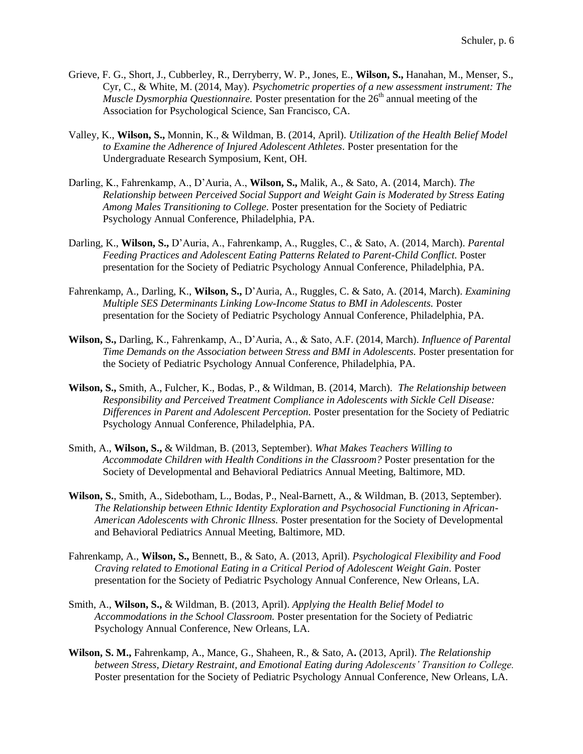- Grieve, F. G., Short, J., Cubberley, R., Derryberry, W. P., Jones, E., **Wilson, S.,** Hanahan, M., Menser, S., Cyr, C., & White, M. (2014, May). *Psychometric properties of a new assessment instrument: The Muscle Dysmorphia Questionnaire.* Poster presentation for the 26<sup>th</sup> annual meeting of the Association for Psychological Science, San Francisco, CA.
- Valley, K., **Wilson, S.,** Monnin, K., & Wildman, B. (2014, April). *Utilization of the Health Belief Model to Examine the Adherence of Injured Adolescent Athletes.* Poster presentation for the Undergraduate Research Symposium, Kent, OH.
- Darling, K., Fahrenkamp, A., D'Auria, A., **Wilson, S.,** Malik, A., & Sato, A. (2014, March). *The Relationship between Perceived Social Support and Weight Gain is Moderated by Stress Eating Among Males Transitioning to College.* Poster presentation for the Society of Pediatric Psychology Annual Conference, Philadelphia, PA.
- Darling, K., **Wilson, S.,** D'Auria, A., Fahrenkamp, A., Ruggles, C., & Sato, A. (2014, March). *Parental Feeding Practices and Adolescent Eating Patterns Related to Parent-Child Conflict.* Poster presentation for the Society of Pediatric Psychology Annual Conference, Philadelphia, PA.
- Fahrenkamp, A., Darling, K., **Wilson, S.,** D'Auria, A., Ruggles, C. & Sato, A. (2014, March). *Examining Multiple SES Determinants Linking Low-Income Status to BMI in Adolescents.* Poster presentation for the Society of Pediatric Psychology Annual Conference, Philadelphia, PA.
- **Wilson, S.,** Darling, K., Fahrenkamp, A., D'Auria, A., & Sato, A.F. (2014, March). *Influence of Parental Time Demands on the Association between Stress and BMI in Adolescents.* Poster presentation for the Society of Pediatric Psychology Annual Conference, Philadelphia, PA.
- **Wilson, S.,** Smith, A., Fulcher, K., Bodas, P., & Wildman, B. (2014, March). *The Relationship between Responsibility and Perceived Treatment Compliance in Adolescents with Sickle Cell Disease: Differences in Parent and Adolescent Perception.* Poster presentation for the Society of Pediatric Psychology Annual Conference, Philadelphia, PA.
- Smith, A., **Wilson, S.,** & Wildman, B. (2013, September). *What Makes Teachers Willing to Accommodate Children with Health Conditions in the Classroom?* Poster presentation for the Society of Developmental and Behavioral Pediatrics Annual Meeting, Baltimore, MD.
- **Wilson, S.**, Smith, A., Sidebotham, L., Bodas, P., Neal-Barnett, A., & Wildman, B. (2013, September). *The Relationship between Ethnic Identity Exploration and Psychosocial Functioning in African-American Adolescents with Chronic Illness.* Poster presentation for the Society of Developmental and Behavioral Pediatrics Annual Meeting, Baltimore, MD.
- Fahrenkamp, A., **Wilson, S.,** Bennett, B., & Sato, A. (2013, April). *Psychological Flexibility and Food Craving related to Emotional Eating in a Critical Period of Adolescent Weight Gain.* Poster presentation for the Society of Pediatric Psychology Annual Conference, New Orleans, LA.
- Smith, A., **Wilson, S.,** & Wildman, B. (2013, April). *Applying the Health Belief Model to Accommodations in the School Classroom.* Poster presentation for the Society of Pediatric Psychology Annual Conference, New Orleans, LA.
- **Wilson, S. M.,** Fahrenkamp, A., Mance, G., Shaheen, R., & Sato, A**.** (2013, April). *The Relationship between Stress, Dietary Restraint, and Emotional Eating during Adolescents' Transition to College.*  Poster presentation for the Society of Pediatric Psychology Annual Conference, New Orleans, LA.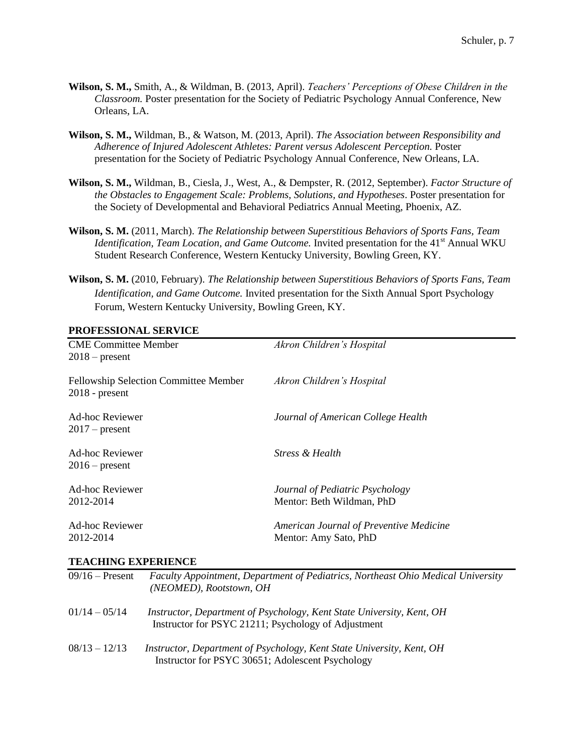- **Wilson, S. M.,** Smith, A., & Wildman, B. (2013, April). *Teachers' Perceptions of Obese Children in the Classroom.* Poster presentation for the Society of Pediatric Psychology Annual Conference, New Orleans, LA.
- **Wilson, S. M.,** Wildman, B., & Watson, M. (2013, April). *The Association between Responsibility and Adherence of Injured Adolescent Athletes: Parent versus Adolescent Perception.* Poster presentation for the Society of Pediatric Psychology Annual Conference, New Orleans, LA.
- **Wilson, S. M.,** Wildman, B., Ciesla, J., West, A., & Dempster, R. (2012, September). *Factor Structure of the Obstacles to Engagement Scale: Problems, Solutions, and Hypotheses*. Poster presentation for the Society of Developmental and Behavioral Pediatrics Annual Meeting, Phoenix, AZ.
- **Wilson, S. M.** (2011, March). *The Relationship between Superstitious Behaviors of Sports Fans, Team Identification, Team Location, and Game Outcome.* Invited presentation for the 41<sup>st</sup> Annual WKU Student Research Conference, Western Kentucky University, Bowling Green, KY.
- **Wilson, S. M.** (2010, February). *The Relationship between Superstitious Behaviors of Sports Fans, Team Identification, and Game Outcome.* Invited presentation for the Sixth Annual Sport Psychology Forum, Western Kentucky University, Bowling Green, KY.

## **PROFESSIONAL SERVICE**

| 1 1101 1100101 1111 DER 7 1011                                   |                                                                  |
|------------------------------------------------------------------|------------------------------------------------------------------|
| <b>CME Committee Member</b><br>$2018$ – present                  | Akron Children's Hospital                                        |
| <b>Fellowship Selection Committee Member</b><br>$2018$ - present | Akron Children's Hospital                                        |
| Ad-hoc Reviewer<br>$2017$ – present                              | Journal of American College Health                               |
| Ad-hoc Reviewer<br>$2016$ – present                              | <b>Stress &amp; Health</b>                                       |
| Ad-hoc Reviewer<br>2012-2014                                     | Journal of Pediatric Psychology<br>Mentor: Beth Wildman, PhD     |
| <b>Ad-hoc Reviewer</b><br>2012-2014                              | American Journal of Preventive Medicine<br>Mentor: Amy Sato, PhD |

#### **TEACHING EXPERIENCE**

| $09/16$ – Present | <b>Faculty Appointment, Department of Pediatrics, Northeast Ohio Medical University</b><br>(NEOMED), Rootstown, OH           |
|-------------------|------------------------------------------------------------------------------------------------------------------------------|
| $01/14 - 05/14$   | Instructor, Department of Psychology, Kent State University, Kent, OH<br>Instructor for PSYC 21211; Psychology of Adjustment |
| $08/13 - 12/13$   | Instructor, Department of Psychology, Kent State University, Kent, OH<br>Instructor for PSYC 30651; Adolescent Psychology    |